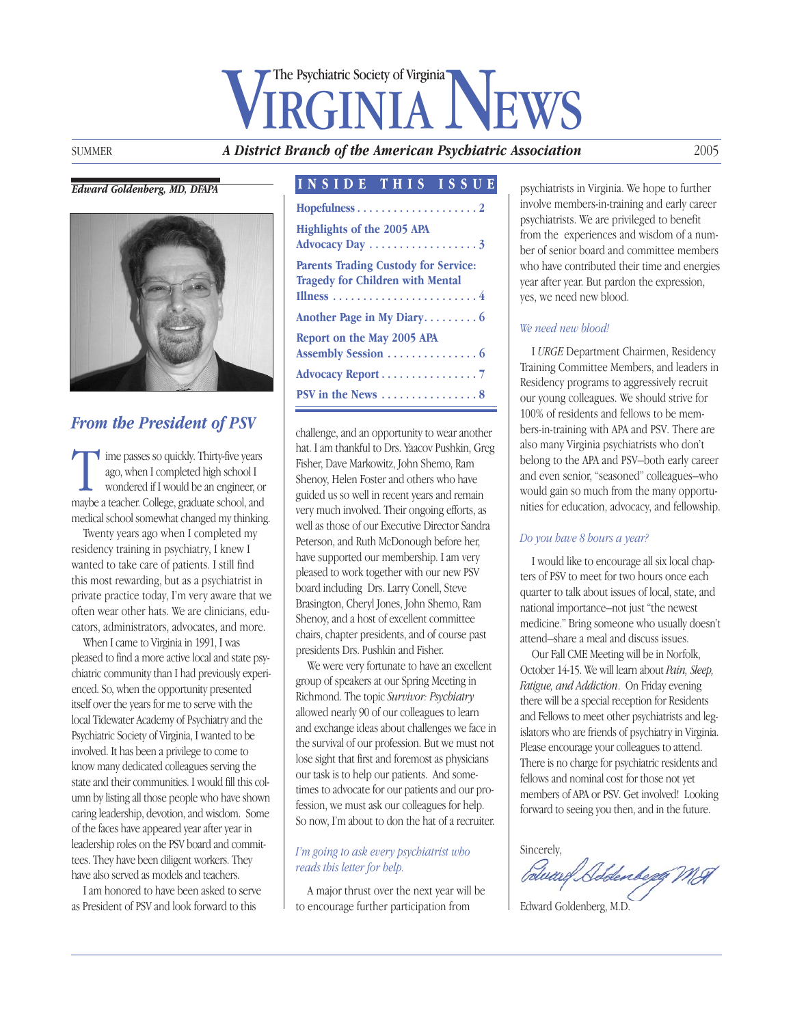# INIA NEWS The Psychiatric Society of Virginia

SUMMER *A District Branch of the American Psychiatric Association* 2005

### *Edward Goldenberg, MD, DFAPA*



### *From the President of PSV*

ime passes so quickly. Thirty-five years ago, when I completed high school I wondered if I would be an engineer, or maybe a teacher. College, graduate school, and medical school somewhat changed my thinking.

Twenty years ago when I completed my residency training in psychiatry, I knew I wanted to take care of patients. I still find this most rewarding, but as a psychiatrist in private practice today, I'm very aware that we often wear other hats. We are clinicians, educators, administrators, advocates, and more.

When I came to Virginia in 1991, I was pleased to find a more active local and state psychiatric community than I had previously experienced. So, when the opportunity presented itself over the years for me to serve with the local Tidewater Academy of Psychiatry and the Psychiatric Society of Virginia, I wanted to be involved. It has been a privilege to come to know many dedicated colleagues serving the state and their communities. I would fill this column by listing all those people who have shown caring leadership, devotion, and wisdom. Some of the faces have appeared year after year in leadership roles on the PSV board and committees. They have been diligent workers. They have also served as models and teachers.

I am honored to have been asked to serve as President of PSV and look forward to this

### **INSIDE THIS ISSUE**

| <b>Highlights of the 2005 APA</b><br>Advocacy Day $\dots \dots \dots \dots \dots$      |
|----------------------------------------------------------------------------------------|
| <b>Parents Trading Custody for Service:</b><br><b>Tragedy for Children with Mental</b> |
|                                                                                        |
| Report on the May 2005 APA                                                             |
| Advocacy Report 7                                                                      |
| PSV in the News  8                                                                     |

challenge, and an opportunity to wear another hat. I am thankful to Drs. Yaacov Pushkin, Greg Fisher, Dave Markowitz, John Shemo, Ram Shenoy, Helen Foster and others who have guided us so well in recent years and remain very much involved. Their ongoing efforts, as well as those of our Executive Director Sandra Peterson, and Ruth McDonough before her, have supported our membership. I am very pleased to work together with our new PSV board including Drs. Larry Conell, Steve Brasington, Cheryl Jones, John Shemo, Ram Shenoy, and a host of excellent committee chairs, chapter presidents, and of course past presidents Drs. Pushkin and Fisher.

We were very fortunate to have an excellent group of speakers at our Spring Meeting in Richmond. The topic *Survivor: Psychiatry* allowed nearly 90 of our colleagues to learn and exchange ideas about challenges we face in the survival of our profession. But we must not lose sight that first and foremost as physicians our task is to help our patients. And sometimes to advocate for our patients and our profession, we must ask our colleagues for help. So now, I'm about to don the hat of a recruiter.

### *I'm going to ask every psychiatrist who reads this letter for help.*

A major thrust over the next year will be to encourage further participation from

psychiatrists in Virginia. We hope to further involve members-in-training and early career psychiatrists. We are privileged to benefit from the experiences and wisdom of a number of senior board and committee members who have contributed their time and energies year after year. But pardon the expression, yes, we need new blood.

### *We need new blood!*

I *URGE* Department Chairmen, Residency Training Committee Members, and leaders in Residency programs to aggressively recruit our young colleagues. We should strive for 100% of residents and fellows to be members-in-training with APA and PSV. There are also many Virginia psychiatrists who don't belong to the APA and PSV–both early career and even senior, "seasoned" colleagues–who would gain so much from the many opportunities for education, advocacy, and fellowship.

### *Do you have 8 hours a year?*

I would like to encourage all six local chapters of PSV to meet for two hours once each quarter to talk about issues of local, state, and national importance–not just "the newest medicine." Bring someone who usually doesn't attend–share a meal and discuss issues.

Our Fall CME Meeting will be in Norfolk, October 14-15. We will learn about *Pain, Sleep, Fatigue, and Addiction*. On Friday evening there will be a special reception for Residents and Fellows to meet other psychiatrists and legislators who are friends of psychiatry in Virginia. Please encourage your colleagues to attend. There is no charge for psychiatric residents and fellows and nominal cost for those not yet members of APA or PSV. Get involved! Looking forward to seeing you then, and in the future.

sincerely,<br>*{dwaxe||Soldenbegg|MS*|

Edward Goldenberg, M.D.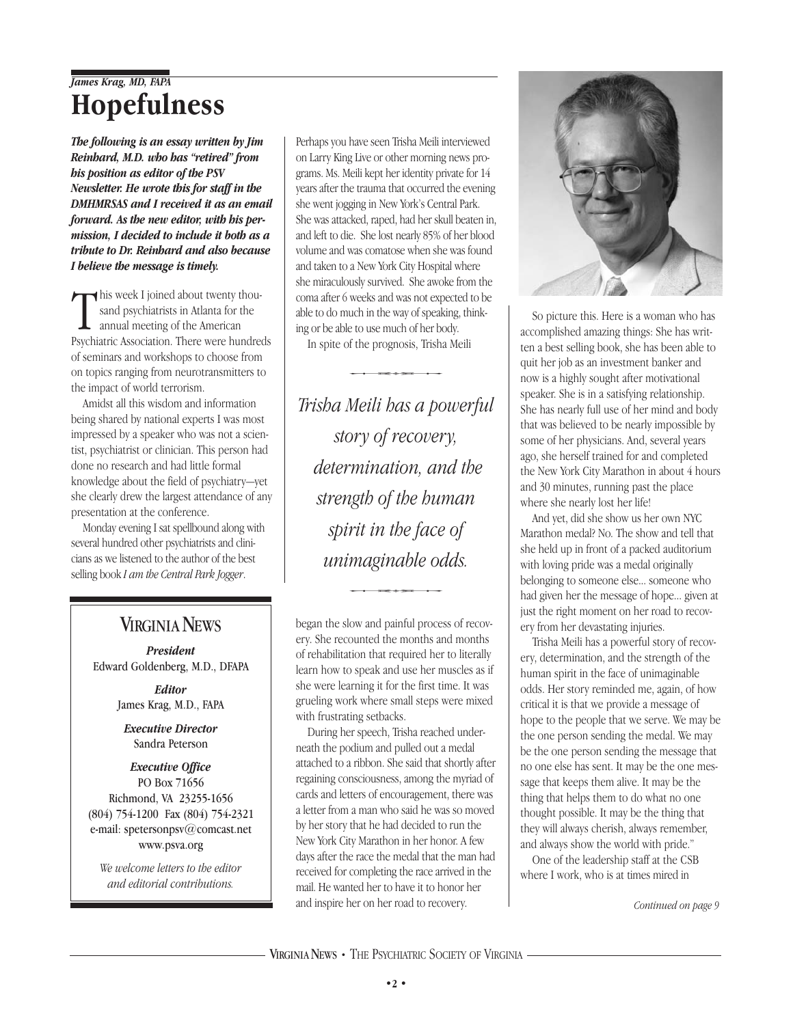# *James Krag, MD, FAPA* **Hopefulness**

*The following is an essay written by Jim Reinhard, M.D. who has "retired" from his position as editor of the PSV Newsletter. He wrote this for staff in the DMHMRSAS and I received it as an email forward. As the new editor, with his permission, I decided to include it both as a tribute to Dr. Reinhard and also because I believe the message is timely.* 

This week I joined about twenty thousand psychiatrists in Atlanta for the annual meeting of the American Psychiatric Association. There were hundreds his week I joined about twenty thousand psychiatrists in Atlanta for the annual meeting of the American of seminars and workshops to choose from on topics ranging from neurotransmitters to the impact of world terrorism.

Amidst all this wisdom and information being shared by national experts I was most impressed by a speaker who was not a scientist, psychiatrist or clinician. This person had done no research and had little formal knowledge about the field of psychiatry—yet she clearly drew the largest attendance of any presentation at the conference.

Monday evening I sat spellbound along with several hundred other psychiatrists and clinicians as we listened to the author of the best selling book *I am the Central Park Jogger*.

### **VIRGINIA NEWS**

*President* Edward Goldenberg, M.D., DFAPA

> *Editor* James Krag, M.D., FAPA

*Executive Director* Sandra Peterson

### *Executive Office* PO Box 71656

Richmond, VA 23255-1656 (804) 754-1200 Fax (804) 754-2321 e-mail: spetersonpsv@comcast.net www.psva.org

*We welcome letters to the editor and editorial contributions.*

Perhaps you have seen Trisha Meili interviewed on Larry King Live or other morning news programs. Ms. Meili kept her identity private for 14 years after the trauma that occurred the evening she went jogging in New York's Central Park. She was attacked, raped, had her skull beaten in, and left to die. She lost nearly 85% of her blood volume and was comatose when she was found and taken to a New York City Hospital where she miraculously survived. She awoke from the coma after 6 weeks and was not expected to be able to do much in the way of speaking, think-Figure to use much in the way of speaking, the state of the prognosis, Trisha Mei In spite of the prognosis, Trisha Meili

*Trisha Meili has a powerful story of recovery, determination, and the strength of the human spirit in the face of unimaginable odds.*   $m$  *in we face of*<br>maginable odds.

began the slow and painful process of recovery. She recounted the months and months of rehabilitation that required her to literally learn how to speak and use her muscles as if she were learning it for the first time. It was grueling work where small steps were mixed with frustrating setbacks.

During her speech, Trisha reached underneath the podium and pulled out a medal attached to a ribbon. She said that shortly after regaining consciousness, among the myriad of cards and letters of encouragement, there was a letter from a man who said he was so moved by her story that he had decided to run the New York City Marathon in her honor. A few days after the race the medal that the man had received for completing the race arrived in the mail. He wanted her to have it to honor her and inspire her on her road to recovery.



So picture this. Here is a woman who has accomplished amazing things: She has written a best selling book, she has been able to quit her job as an investment banker and now is a highly sought after motivational speaker. She is in a satisfying relationship. She has nearly full use of her mind and body that was believed to be nearly impossible by some of her physicians. And, several years ago, she herself trained for and completed the New York City Marathon in about 4 hours and 30 minutes, running past the place where she nearly lost her life!

And yet, did she show us her own NYC Marathon medal? No. The show and tell that she held up in front of a packed auditorium with loving pride was a medal originally belonging to someone else... someone who had given her the message of hope... given at just the right moment on her road to recovery from her devastating injuries.

Trisha Meili has a powerful story of recovery, determination, and the strength of the human spirit in the face of unimaginable odds. Her story reminded me, again, of how critical it is that we provide a message of hope to the people that we serve. We may be the one person sending the medal. We may be the one person sending the message that no one else has sent. It may be the one message that keeps them alive. It may be the thing that helps them to do what no one thought possible. It may be the thing that they will always cherish, always remember, and always show the world with pride."

One of the leadership staff at the CSB where I work, who is at times mired in

*Continued on page 9*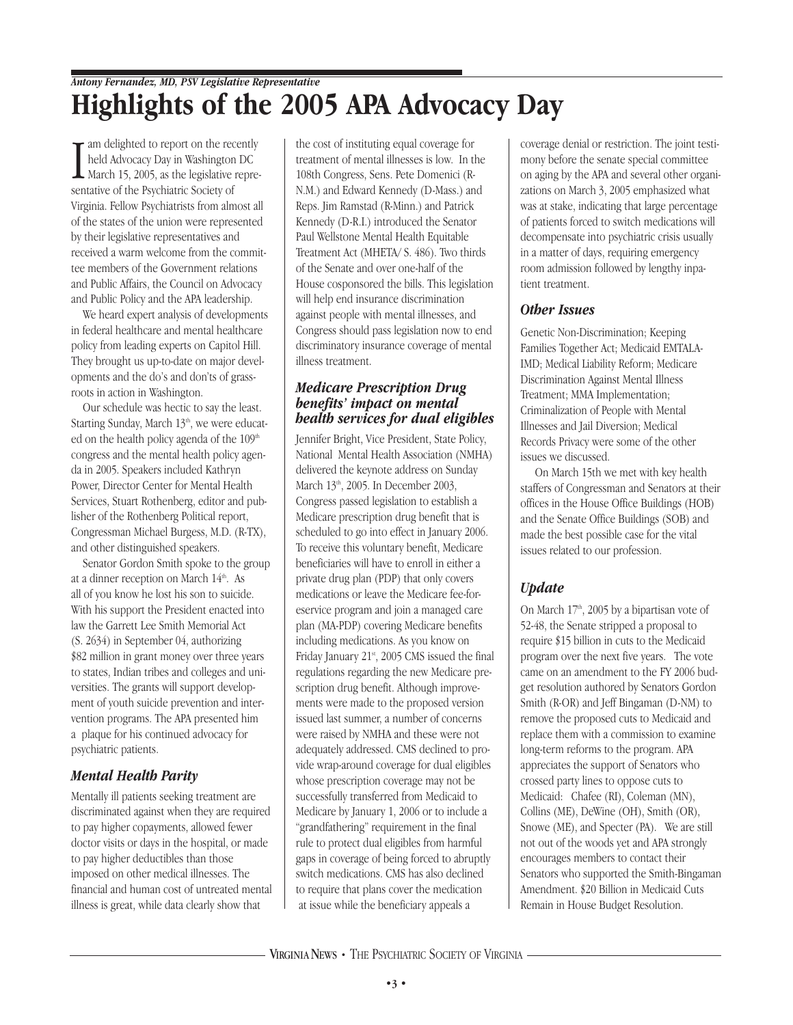## *Antony Fernandez, MD, PSV Legislative Representative* **Highlights of the 2005 APA Advocacy Day**

I  $\tau$  am delighted to report on the recently held Advocacy Day in Washington DC March 15, 2005, as the legislative representative of the Psychiatric Society of Virginia. Fellow Psychiatrists from almost all of the states of the union were represented by their legislative representatives and received a warm welcome from the committee members of the Government relations and Public Affairs, the Council on Advocacy and Public Policy and the APA leadership.

We heard expert analysis of developments in federal healthcare and mental healthcare policy from leading experts on Capitol Hill. They brought us up-to-date on major developments and the do's and don'ts of grassroots in action in Washington.

Our schedule was hectic to say the least. Starting Sunday, March 13<sup>th</sup>, we were educated on the health policy agenda of the 109<sup>th</sup> congress and the mental health policy agenda in 2005. Speakers included Kathryn Power, Director Center for Mental Health Services, Stuart Rothenberg, editor and publisher of the Rothenberg Political report, Congressman Michael Burgess, M.D. (R-TX), and other distinguished speakers.

Senator Gordon Smith spoke to the group at a dinner reception on March 14<sup>th</sup>. As all of you know he lost his son to suicide. With his support the President enacted into law the Garrett Lee Smith Memorial Act (S. 2634) in September 04, authorizing \$82 million in grant money over three years to states, Indian tribes and colleges and universities. The grants will support development of youth suicide prevention and intervention programs. The APA presented him a plaque for his continued advocacy for psychiatric patients.

### *Mental Health Parity*

Mentally ill patients seeking treatment are discriminated against when they are required to pay higher copayments, allowed fewer doctor visits or days in the hospital, or made to pay higher deductibles than those imposed on other medical illnesses. The financial and human cost of untreated mental illness is great, while data clearly show that

the cost of instituting equal coverage for treatment of mental illnesses is low. In the 108th Congress, Sens. Pete Domenici (R-N.M.) and Edward Kennedy (D-Mass.) and Reps. Jim Ramstad (R-Minn.) and Patrick Kennedy (D-R.I.) introduced the Senator Paul Wellstone Mental Health Equitable Treatment Act (MHETA/ S. 486). Two thirds of the Senate and over one-half of the House cosponsored the bills. This legislation will help end insurance discrimination against people with mental illnesses, and Congress should pass legislation now to end discriminatory insurance coverage of mental illness treatment.

### *Medicare Prescription Drug benefits' impact on mental health services for dual eligibles*

Jennifer Bright, Vice President, State Policy, National Mental Health Association (NMHA) delivered the keynote address on Sunday March 13<sup>th</sup>, 2005. In December 2003, Congress passed legislation to establish a Medicare prescription drug benefit that is scheduled to go into effect in January 2006. To receive this voluntary benefit, Medicare beneficiaries will have to enroll in either a private drug plan (PDP) that only covers medications or leave the Medicare fee-foreservice program and join a managed care plan (MA-PDP) covering Medicare benefits including medications. As you know on Friday January 21<sup>st</sup>, 2005 CMS issued the final regulations regarding the new Medicare prescription drug benefit. Although improvements were made to the proposed version issued last summer, a number of concerns were raised by NMHA and these were not adequately addressed. CMS declined to provide wrap-around coverage for dual eligibles whose prescription coverage may not be successfully transferred from Medicaid to Medicare by January 1, 2006 or to include a "grandfathering" requirement in the final rule to protect dual eligibles from harmful gaps in coverage of being forced to abruptly switch medications. CMS has also declined to require that plans cover the medication at issue while the beneficiary appeals a

coverage denial or restriction. The joint testimony before the senate special committee on aging by the APA and several other organizations on March 3, 2005 emphasized what was at stake, indicating that large percentage of patients forced to switch medications will decompensate into psychiatric crisis usually in a matter of days, requiring emergency room admission followed by lengthy inpatient treatment.

### *Other Issues*

Genetic Non-Discrimination; Keeping Families Together Act; Medicaid EMTALA-IMD; Medical Liability Reform; Medicare Discrimination Against Mental Illness Treatment; MMA Implementation; Criminalization of People with Mental Illnesses and Jail Diversion; Medical Records Privacy were some of the other issues we discussed.

On March 15th we met with key health staffers of Congressman and Senators at their offices in the House Office Buildings (HOB) and the Senate Office Buildings (SOB) and made the best possible case for the vital issues related to our profession.

### *Update*

On March  $17<sup>th</sup>$ , 2005 by a bipartisan vote of 52-48, the Senate stripped a proposal to require \$15 billion in cuts to the Medicaid program over the next five years. The vote came on an amendment to the FY 2006 budget resolution authored by Senators Gordon Smith (R-OR) and Jeff Bingaman (D-NM) to remove the proposed cuts to Medicaid and replace them with a commission to examine long-term reforms to the program. APA appreciates the support of Senators who crossed party lines to oppose cuts to Medicaid: Chafee (RI), Coleman (MN), Collins (ME), DeWine (OH), Smith (OR), Snowe (ME), and Specter (PA). We are still not out of the woods yet and APA strongly encourages members to contact their Senators who supported the Smith-Bingaman Amendment. \$20 Billion in Medicaid Cuts Remain in House Budget Resolution.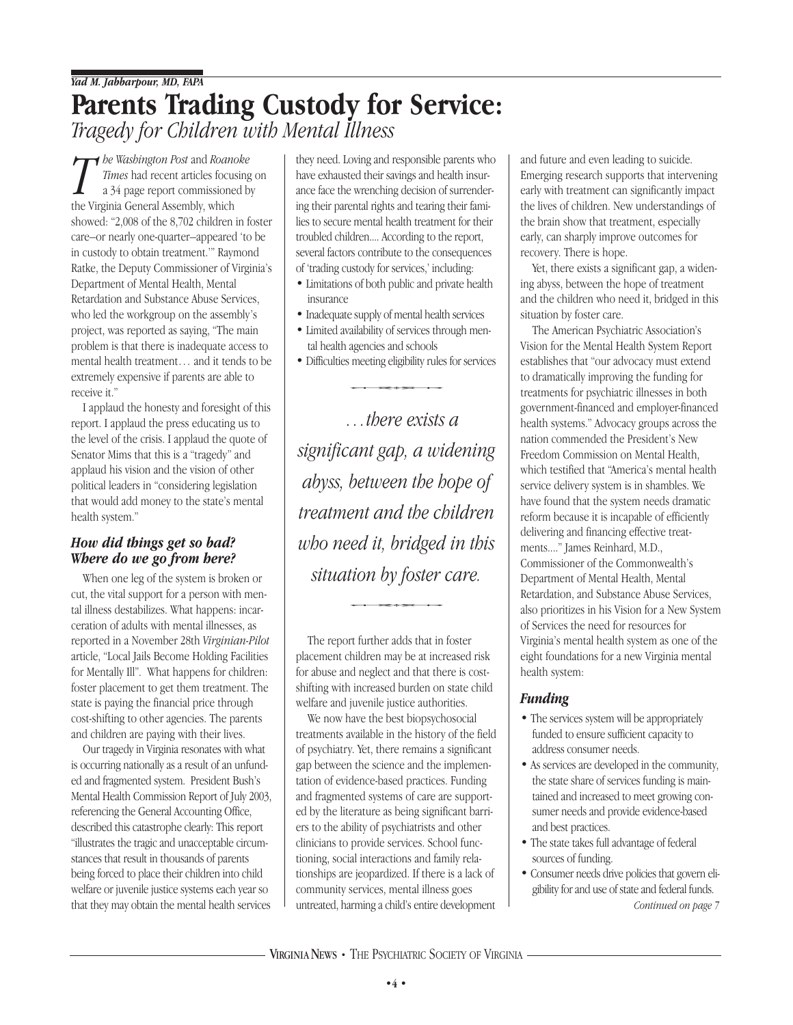# **Parents Trading Custody for Service:**  *Tragedy for Children with Mental Illness*

*T he Washington Post* and *Roanoke Times* had recent articles focusing on a 34 page report commissioned by the Virginia General Assembly, which showed: "2,008 of the 8,702 children in foster care–or nearly one-quarter–appeared 'to be in custody to obtain treatment.'" Raymond Ratke, the Deputy Commissioner of Virginia's Department of Mental Health, Mental Retardation and Substance Abuse Services, who led the workgroup on the assembly's project, was reported as saying, "The main problem is that there is inadequate access to mental health treatment… and it tends to be extremely expensive if parents are able to receive it."

I applaud the honesty and foresight of this report. I applaud the press educating us to the level of the crisis. I applaud the quote of Senator Mims that this is a "tragedy" and applaud his vision and the vision of other political leaders in "considering legislation that would add money to the state's mental health system."

### *How did things get so bad? Where do we go from here?*

When one leg of the system is broken or cut, the vital support for a person with mental illness destabilizes. What happens: incarceration of adults with mental illnesses, as reported in a November 28th *Virginian-Pilot* article, "Local Jails Become Holding Facilities for Mentally Ill". What happens for children: foster placement to get them treatment. The state is paying the financial price through cost-shifting to other agencies. The parents and children are paying with their lives.

Our tragedy in Virginia resonates with what is occurring nationally as a result of an unfunded and fragmented system. President Bush's Mental Health Commission Report of July 2003, referencing the General Accounting Office, described this catastrophe clearly: This report "illustrates the tragic and unacceptable circumstances that result in thousands of parents being forced to place their children into child welfare or juvenile justice systems each year so that they may obtain the mental health services

they need. Loving and responsible parents who have exhausted their savings and health insurance face the wrenching decision of surrendering their parental rights and tearing their families to secure mental health treatment for their troubled children.... According to the report, several factors contribute to the consequences of 'trading custody for services,' including:

- Limitations of both public and private health insurance
- Inadequate supply of mental health services
- Limited availability of services through mental health agencies and schools Manufold by of services through<br>agencies and schools<br>meeting eligibility rules for s<br>there exists a
- Difficulties meeting eligibility rules for services

*…there exists a significant gap, a widening abyss, between the hope of treatment and the children who need it, bridged in this situation by foster care.*   $\frac{1}{100}$  by foster can

The report further adds that in foster placement children may be at increased risk for abuse and neglect and that there is costshifting with increased burden on state child welfare and juvenile justice authorities.

We now have the best biopsychosocial treatments available in the history of the field of psychiatry. Yet, there remains a significant gap between the science and the implementation of evidence-based practices. Funding and fragmented systems of care are supported by the literature as being significant barriers to the ability of psychiatrists and other clinicians to provide services. School functioning, social interactions and family relationships are jeopardized. If there is a lack of community services, mental illness goes untreated, harming a child's entire development

and future and even leading to suicide. Emerging research supports that intervening early with treatment can significantly impact the lives of children. New understandings of the brain show that treatment, especially early, can sharply improve outcomes for recovery. There is hope.

Yet, there exists a significant gap, a widening abyss, between the hope of treatment and the children who need it, bridged in this situation by foster care.

The American Psychiatric Association's Vision for the Mental Health System Report establishes that "our advocacy must extend to dramatically improving the funding for treatments for psychiatric illnesses in both government-financed and employer-financed health systems." Advocacy groups across the nation commended the President's New Freedom Commission on Mental Health, which testified that "America's mental health service delivery system is in shambles. We have found that the system needs dramatic reform because it is incapable of efficiently delivering and financing effective treatments...." James Reinhard, M.D., Commissioner of the Commonwealth's Department of Mental Health, Mental Retardation, and Substance Abuse Services, also prioritizes in his Vision for a New System of Services the need for resources for Virginia's mental health system as one of the eight foundations for a new Virginia mental health system:

### *Funding*

- The services system will be appropriately funded to ensure sufficient capacity to address consumer needs.
- As services are developed in the community, the state share of services funding is maintained and increased to meet growing consumer needs and provide evidence-based and best practices.
- The state takes full advantage of federal sources of funding.
- Consumer needs drive policies that govern eligibility for and use of state and federal funds.

*Continued on page 7*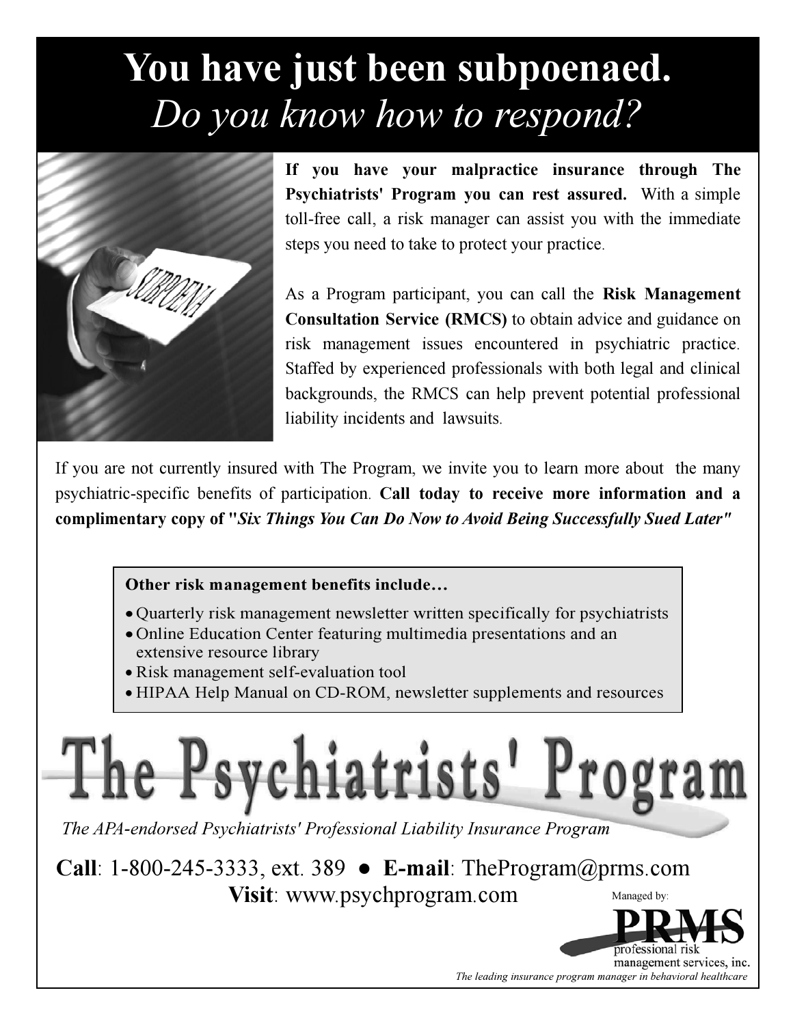# **You have just been subpoenaed.**  *Do you know how to respond?*



**If you have your malpractice insurance through The Psychiatrists' Program you can rest assured.** With a simple toll-free call, a risk manager can assist you with the immediate steps you need to take to protect your practice.

As a Program participant, you can call the **Risk Management Consultation Service (RMCS)** to obtain advice and guidance on risk management issues encountered in psychiatric practice. Staffed by experienced professionals with both legal and clinical backgrounds, the RMCS can help prevent potential professional liability incidents and lawsuits.

If you are not currently insured with The Program, we invite you to learn more about the many psychiatric-specific benefits of participation. **Call today to receive more information and a complimentary copy of "***Six Things You Can Do Now to Avoid Being Successfully Sued Later"*

### **Other risk management benefits include…**

- Quarterly risk management newsletter written specifically for psychiatrists
- Online Education Center featuring multimedia presentations and an extensive resource library
- Risk management self-evaluation tool
- HIPAA Help Manual on CD-ROM, newsletter supplements and resources

# The Psychiatrists' Program

*The APA-endorsed Psychiatrists' Professional Liability Insurance Program*

Managed by: **Call**:  $1-800-245-3333$ , ext. 389  $\bullet$  **E-mail**: The Program (a) prms.com **Visit**: www.psychprogram.com

> professional risk management services, inc. *The leading insurance program manager in behavioral healthcare*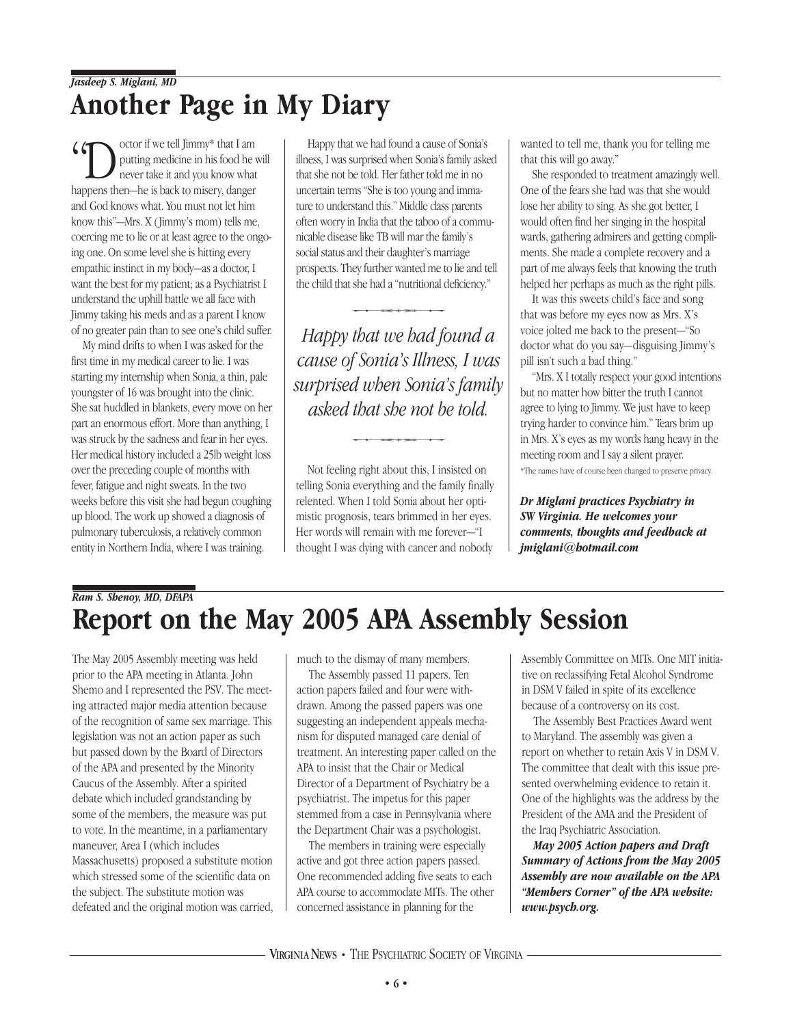# *Jasdeep S. Miglani, MD* **Another Page in My Diary**

"Doctor if we tell Jimmy\* that I am happens then—he is back to misery, danger putting medicine in his food he will never take it and you know what and God knows what. You must not let him know this"—Mrs. X (Jimmy's mom) tells me, coercing me to lie or at least agree to the ongoing one. On some level she is hitting every empathic instinct in my body—as a doctor, I want the best for my patient; as a Psychiatrist I understand the uphill battle we all face with Jimmy taking his meds and as a parent I know of no greater pain than to see one's child suffer.

My mind drifts to when I was asked for the first time in my medical career to lie. I was starting my internship when Sonia, a thin, pale youngster of 16 was brought into the clinic. She sat huddled in blankets, every move on her part an enormous effort. More than anything, I was struck by the sadness and fear in her eyes. Her medical history included a 25lb weight loss over the preceding couple of months with fever, fatigue and night sweats. In the two weeks before this visit she had begun coughing up blood. The work up showed a diagnosis of pulmonary tuberculosis, a relatively common entity in Northern India, where I was training.

Happy that we had found a cause of Sonia's illness, I was surprised when Sonia's family asked that she not be told. Her father told me in no uncertain terms "She is too young and immature to understand this." Middle class parents often worry in India that the taboo of a communicable disease like TB will mar the family's social status and their daughter's marriage prospects. They further wanted me to lie and tell the child that she had a "nutritional deficiency." *Happy that we had found a*<br>*Happy that we had a* "nutritional deficiency."<br>*Happy that we had found a* 

*cause of Sonia's Illness, I was surprised when Sonia's family asked that she not be told. d when Sonia's fo<br>that she not be to*<br>*p* right about this Linsisted

Not feeling right about this, I insisted on telling Sonia everything and the family finally relented. When I told Sonia about her optimistic prognosis, tears brimmed in her eyes. Her words will remain with me forever—"I thought I was dying with cancer and nobody

wanted to tell me, thank you for telling me that this will go away."

She responded to treatment amazingly well. One of the fears she had was that she would lose her ability to sing. As she got better, I would often find her singing in the hospital wards, gathering admirers and getting compliments. She made a complete recovery and a part of me always feels that knowing the truth helped her perhaps as much as the right pills.

It was this sweets child's face and song that was before my eyes now as Mrs. X's voice jolted me back to the present—"So doctor what do you say—disguising Jimmy's pill isn't such a bad thing."

"Mrs. X I totally respect your good intentions but no matter how bitter the truth I cannot agree to lying to Jimmy. We just have to keep trying harder to convince him." Tears brim up in Mrs. X's eyes as my words hang heavy in the meeting room and I say a silent prayer. \*The names have of course been changed to preserve privacy.

*Dr Miglani practices Psychiatry in SW Virginia. He welcomes your comments, thoughts and feedback at jmiglani@hotmail.com*

# *Ram S. Shenoy, MD, DFAPA* **Report on the May 2005 APA Assembly Session**

The May 2005 Assembly meeting was held prior to the APA meeting in Atlanta. John Shemo and I represented the PSV. The meeting attracted major media attention because of the recognition of same sex marriage. This legislation was not an action paper as such but passed down by the Board of Directors of the APA and presented by the Minority Caucus of the Assembly. After a spirited debate which included grandstanding by some of the members, the measure was put to vote. In the meantime, in a parliamentary maneuver, Area I (which includes Massachusetts) proposed a substitute motion which stressed some of the scientific data on the subject. The substitute motion was defeated and the original motion was carried, much to the dismay of many members.

The Assembly passed 11 papers. Ten action papers failed and four were withdrawn. Among the passed papers was one suggesting an independent appeals mechanism for disputed managed care denial of treatment. An interesting paper called on the APA to insist that the Chair or Medical Director of a Department of Psychiatry be a psychiatrist. The impetus for this paper stemmed from a case in Pennsylvania where the Department Chair was a psychologist.

The members in training were especially active and got three action papers passed. One recommended adding five seats to each APA course to accommodate MITs. The other concerned assistance in planning for the

Assembly Committee on MITs. One MIT initiative on reclassifying Fetal Alcohol Syndrome in DSM V failed in spite of its excellence because of a controversy on its cost.

The Assembly Best Practices Award went to Maryland. The assembly was given a report on whether to retain Axis V in DSM V. The committee that dealt with this issue presented overwhelming evidence to retain it. One of the highlights was the address by the President of the AMA and the President of the Iraq Psychiatric Association.

*May 2005 Action papers and Draft Summary of Actions from the May 2005 Assembly are now available on the APA "Members Corner" of the APA website: www.psych.org.*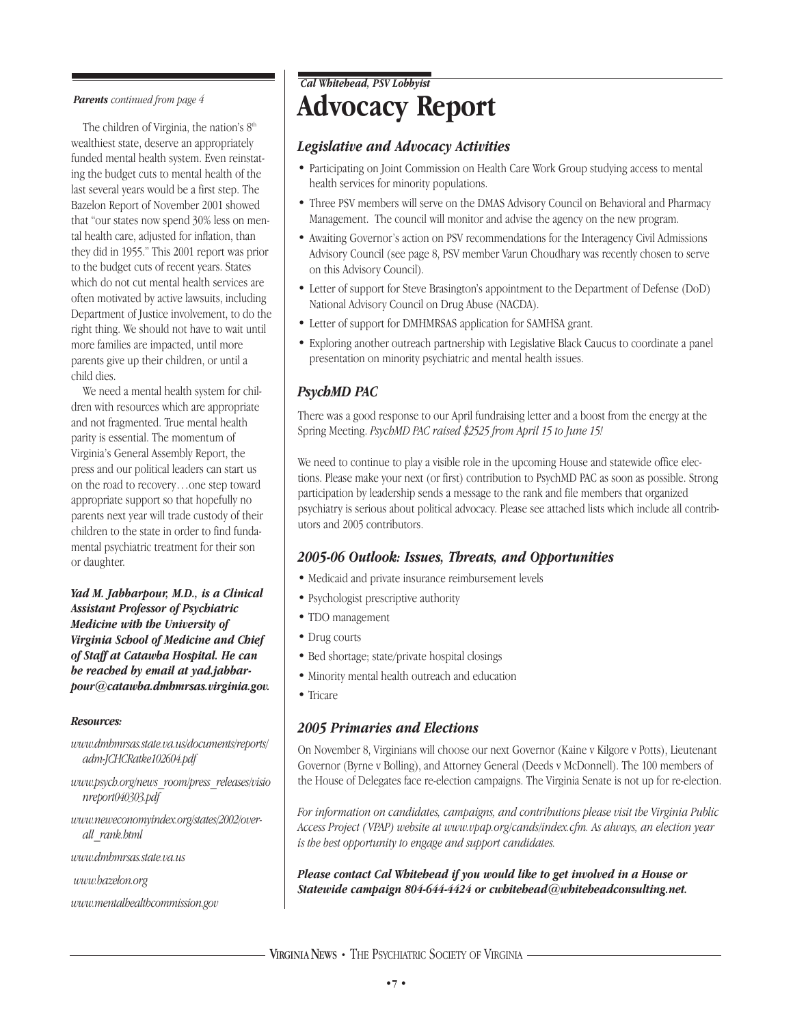### *Parents continued from page 4*

The children of Virginia, the nation's 8<sup>th</sup> wealthiest state, deserve an appropriately funded mental health system. Even reinstating the budget cuts to mental health of the last several years would be a first step. The Bazelon Report of November 2001 showed that "our states now spend 30% less on mental health care, adjusted for inflation, than they did in 1955." This 2001 report was prior to the budget cuts of recent years. States which do not cut mental health services are often motivated by active lawsuits, including Department of Justice involvement, to do the right thing. We should not have to wait until more families are impacted, until more parents give up their children, or until a child dies.

We need a mental health system for children with resources which are appropriate and not fragmented. True mental health parity is essential. The momentum of Virginia's General Assembly Report, the press and our political leaders can start us on the road to recovery…one step toward appropriate support so that hopefully no parents next year will trade custody of their children to the state in order to find fundamental psychiatric treatment for their son or daughter.

*Yad M. Jabbarpour, M.D., is a Clinical Assistant Professor of Psychiatric Medicine with the University of Virginia School of Medicine and Chief of Staff at Catawba Hospital. He can be reached by email at yad.jabbarpour@catawba.dmhmrsas.virginia.gov.*

### *Resources:*

- *www.dmhmrsas.state.va.us/documents/reports/ adm-JCHCRatke102604.pdf*
- *www.psych.org/news\_room/press\_releases/visio nreport040303.pdf*
- *www.neweconomyindex.org/states/2002/overall\_rank.html*
- *www.dmhmrsas.state.va.us*
- *www.bazelon.org*
- *www.mentalhealthcommission.gov*

# *Cal Whitehead, PSV Lobbyist*  **Advocacy Report**

### *Legislative and Advocacy Activities*

- Participating on Joint Commission on Health Care Work Group studying access to mental health services for minority populations.
- Three PSV members will serve on the DMAS Advisory Council on Behavioral and Pharmacy Management. The council will monitor and advise the agency on the new program.
- Awaiting Governor's action on PSV recommendations for the Interagency Civil Admissions Advisory Council (see page 8, PSV member Varun Choudhary was recently chosen to serve on this Advisory Council).
- Letter of support for Steve Brasington's appointment to the Department of Defense (DoD) National Advisory Council on Drug Abuse (NACDA).
- Letter of support for DMHMRSAS application for SAMHSA grant.
- Exploring another outreach partnership with Legislative Black Caucus to coordinate a panel presentation on minority psychiatric and mental health issues.

### *PsychMD PAC*

There was a good response to our April fundraising letter and a boost from the energy at the Spring Meeting. *PsychMD PAC raised \$2525 from April 15 to June 15!*

We need to continue to play a visible role in the upcoming House and statewide office elections. Please make your next (or first) contribution to PsychMD PAC as soon as possible. Strong participation by leadership sends a message to the rank and file members that organized psychiatry is serious about political advocacy. Please see attached lists which include all contributors and 2005 contributors.

### *2005-06 Outlook: Issues, Threats, and Opportunities*

- Medicaid and private insurance reimbursement levels
- Psychologist prescriptive authority
- TDO management
- Drug courts
- Bed shortage; state/private hospital closings
- Minority mental health outreach and education
- Tricare

### *2005 Primaries and Elections*

On November 8, Virginians will choose our next Governor (Kaine v Kilgore v Potts), Lieutenant Governor (Byrne v Bolling), and Attorney General (Deeds v McDonnell). The 100 members of the House of Delegates face re-election campaigns. The Virginia Senate is not up for re-election.

*For information on candidates, campaigns, and contributions please visit the Virginia Public Access Project ( VPAP) website at www.vpap.org/cands/index.cfm. As always, an election year is the best opportunity to engage and support candidates.* 

*Please contact Cal Whitehead if you would like to get involved in a House or Statewide campaign 804-644-4424 or cwhitehead@whiteheadconsulting.net.*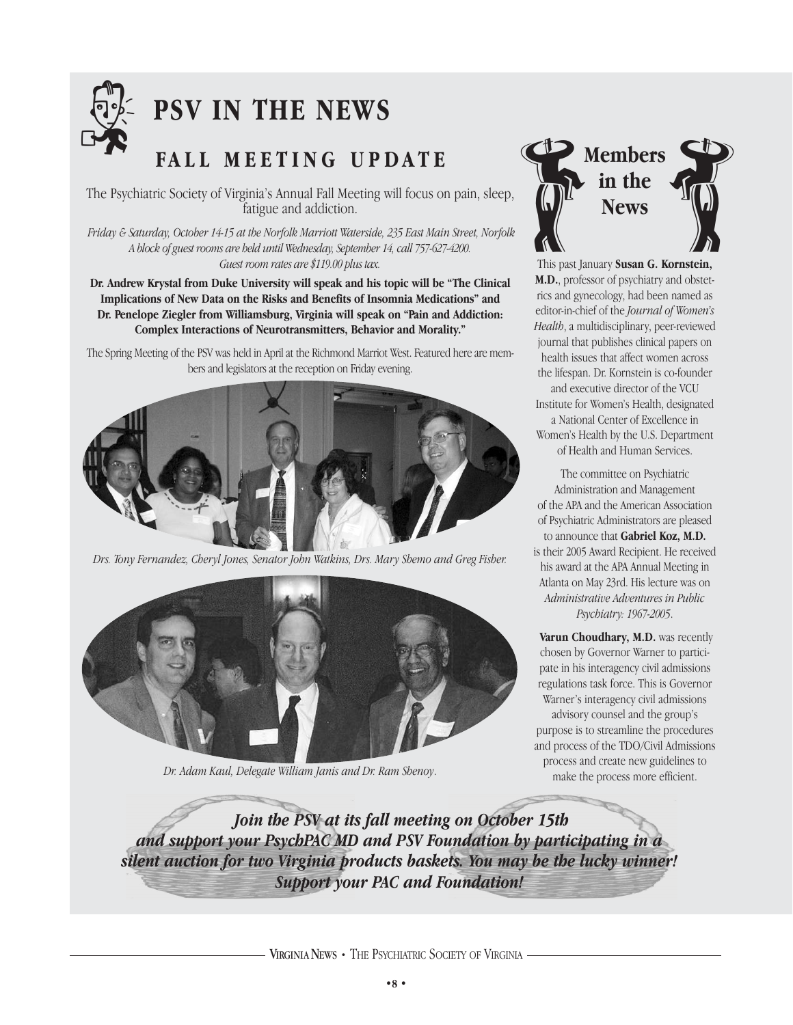

# . **PSV IN THE NEWS**

# **FALL MEETING UPDATE**

The Psychiatric Society of Virginia's Annual Fall Meeting will focus on pain, sleep, fatigue and addiction.

*Friday & Saturday, October 14-15 at the Norfolk Marriott Waterside, 235 East Main Street, Norfolk A block of guest rooms are held until Wednesday, September 14, call 757-627-4200. Guest room rates are \$119.00 plus tax.*

**Dr. Andrew Krystal from Duke University will speak and his topic will be "The Clinical Implications of New Data on the Risks and Benefits of Insomnia Medications" and Dr. Penelope Ziegler from Williamsburg, Virginia will speak on "Pain and Addiction: Complex Interactions of Neurotransmitters, Behavior and Morality."** 

The Spring Meeting of the PSV was held in April at the Richmond Marriot West. Featured here are members and legislators at the reception on Friday evening.



*Drs. Tony Fernandez, Cheryl Jones, Senator John Watkins, Drs. Mary Shemo and Greg Fisher.* 



*Dr. Adam Kaul, Delegate William Janis and Dr. Ram Shenoy*.



This past January **Susan G. Kornstein, M.D.**, professor of psychiatry and obstetrics and gynecology, had been named as editor-in-chief of the *Journal of Women's Health*, a multidisciplinary, peer-reviewed journal that publishes clinical papers on health issues that affect women across the lifespan. Dr. Kornstein is co-founder and executive director of the VCU Institute for Women's Health, designated a National Center of Excellence in Women's Health by the U.S. Department of Health and Human Services.

The committee on Psychiatric Administration and Management of the APA and the American Association of Psychiatric Administrators are pleased to announce that **Gabriel Koz, M.D.** is their 2005 Award Recipient. He received his award at the APA Annual Meeting in Atlanta on May 23rd. His lecture was on *Administrative Adventures in Public Psychiatry: 1967-2005*.

**Varun Choudhary, M.D.** was recently chosen by Governor Warner to participate in his interagency civil admissions regulations task force. This is Governor Warner's interagency civil admissions advisory counsel and the group's purpose is to streamline the procedures and process of the TDO/Civil Admissions process and create new guidelines to make the process more efficient.

*Join the PSV at its fall meeting on October 15th and support your PsychPAC MD and PSV Foundation by participating in a silent auction for two Virginia products baskets. You may be the lucky winner! Support your PAC and Foundation!*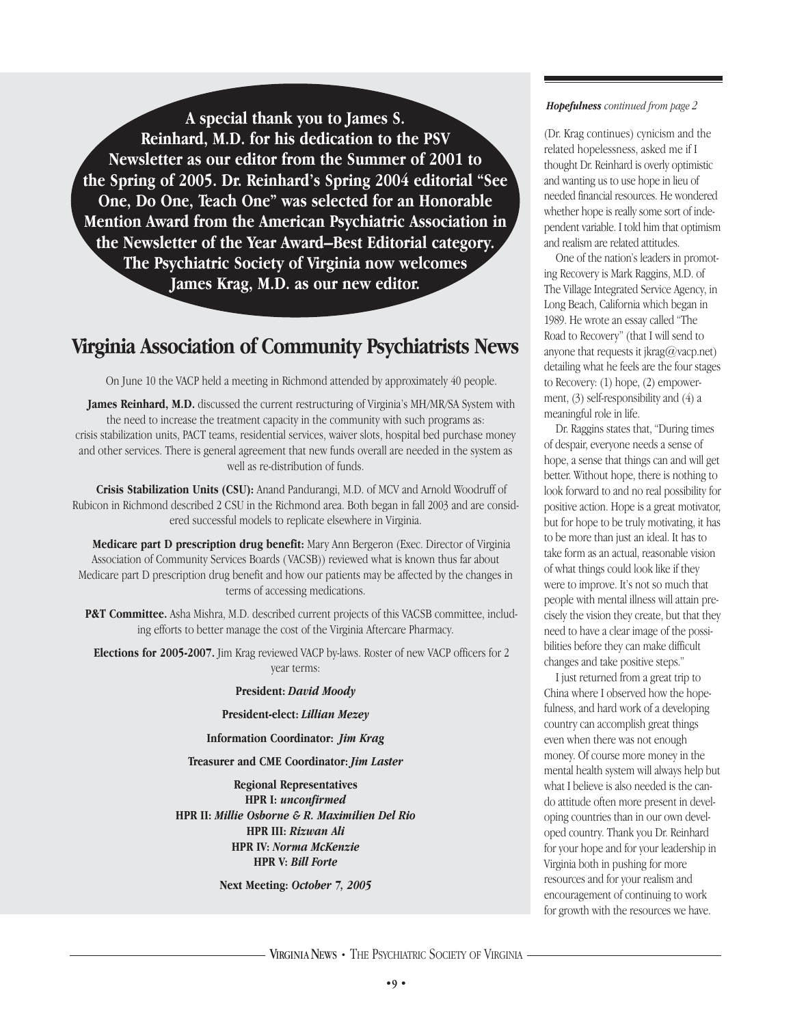**A special thank you to James S. Reinhard, M.D. for his dedication to the PSV Newsletter as our editor from the Summer of 2001 to the Spring of 2005. Dr. Reinhard's Spring 2004 editorial "See One, Do One, Teach One" was selected for an Honorable Mention Award from the American Psychiatric Association in the Newsletter of the Year Award–Best Editorial category. The Psychiatric Society of Virginia now welcomes James Krag, M.D. as our new editor.**

## **Virginia Association of Community Psychiatrists News**

On June 10 the VACP held a meeting in Richmond attended by approximately 40 people.

James Reinhard, M.D. discussed the current restructuring of Virginia's MH/MR/SA System with the need to increase the treatment capacity in the community with such programs as: crisis stabilization units, PACT teams, residential services, waiver slots, hospital bed purchase money and other services. There is general agreement that new funds overall are needed in the system as well as re-distribution of funds.

**Crisis Stabilization Units (CSU):** Anand Pandurangi, M.D. of MCV and Arnold Woodruff of Rubicon in Richmond described 2 CSU in the Richmond area. Both began in fall 2003 and are considered successful models to replicate elsewhere in Virginia.

**Medicare part D prescription drug benefit:** Mary Ann Bergeron (Exec. Director of Virginia Association of Community Services Boards ( VACSB)) reviewed what is known thus far about Medicare part D prescription drug benefit and how our patients may be affected by the changes in terms of accessing medications.

**P&T Committee.** Asha Mishra, M.D. described current projects of this VACSB committee, including efforts to better manage the cost of the Virginia Aftercare Pharmacy.

**Elections for 2005-2007.** Jim Krag reviewed VACP by-laws. Roster of new VACP officers for 2 year terms:

**President:** *David Moody*

**President-elect:** *Lillian Mezey*

**Information Coordinator:** *Jim Krag*

**Treasurer and CME Coordinator:** *Jim Laster*

**Regional Representatives HPR I:** *unconfirmed* **HPR II:** *Millie Osborne & R. Maximilien Del Rio* **HPR III:** *Rizwan Ali* **HPR IV:** *Norma McKenzie* **HPR V:** *Bill Forte*

**Next Meeting:** *October 7, 2005* 

#### *Hopefulness continued from page 2*

(Dr. Krag continues) cynicism and the related hopelessness, asked me if I thought Dr. Reinhard is overly optimistic and wanting us to use hope in lieu of needed financial resources. He wondered whether hope is really some sort of independent variable. I told him that optimism and realism are related attitudes.

One of the nation's leaders in promoting Recovery is Mark Raggins, M.D. of The Village Integrated Service Agency, in Long Beach, California which began in 1989. He wrote an essay called "The Road to Recovery" (that I will send to anyone that requests it jkrag@vacp.net) detailing what he feels are the four stages to Recovery: (1) hope, (2) empowerment, (3) self-responsibility and (4) a meaningful role in life.

Dr. Raggins states that, "During times of despair, everyone needs a sense of hope, a sense that things can and will get better. Without hope, there is nothing to look forward to and no real possibility for positive action. Hope is a great motivator, but for hope to be truly motivating, it has to be more than just an ideal. It has to take form as an actual, reasonable vision of what things could look like if they were to improve. It's not so much that people with mental illness will attain precisely the vision they create, but that they need to have a clear image of the possibilities before they can make difficult changes and take positive steps."

I just returned from a great trip to China where I observed how the hopefulness, and hard work of a developing country can accomplish great things even when there was not enough money. Of course more money in the mental health system will always help but what I believe is also needed is the cando attitude often more present in developing countries than in our own developed country. Thank you Dr. Reinhard for your hope and for your leadership in Virginia both in pushing for more resources and for your realism and encouragement of continuing to work for growth with the resources we have.